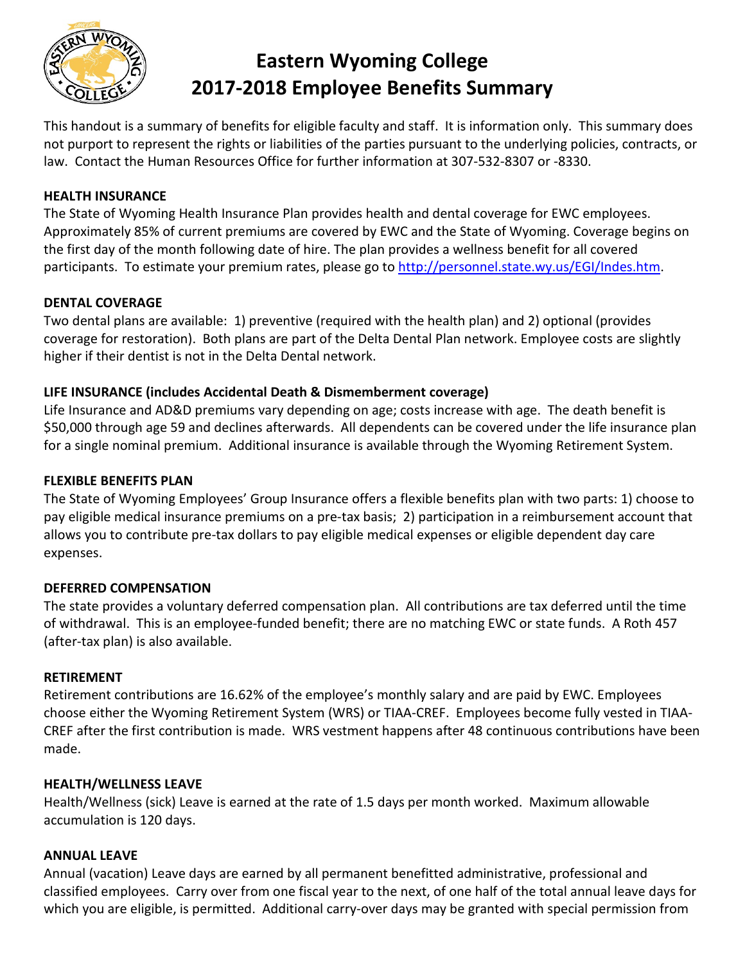

# **Eastern Wyoming College 2017-2018 Employee Benefits Summary**

This handout is a summary of benefits for eligible faculty and staff. It is information only. This summary does not purport to represent the rights or liabilities of the parties pursuant to the underlying policies, contracts, or law. Contact the Human Resources Office for further information at 307-532-8307 or -8330.

## **HEALTH INSURANCE**

The State of Wyoming Health Insurance Plan provides health and dental coverage for EWC employees. Approximately 85% of current premiums are covered by EWC and the State of Wyoming. Coverage begins on the first day of the month following date of hire. The plan provides a wellness benefit for all covered participants. To estimate your premium rates, please go to [http://personnel.state.wy.us/EGI/Indes.htm.](http://personnel.state.wy.us/EGI/Indes.htm)

### **DENTAL COVERAGE**

Two dental plans are available: 1) preventive (required with the health plan) and 2) optional (provides coverage for restoration). Both plans are part of the Delta Dental Plan network. Employee costs are slightly higher if their dentist is not in the Delta Dental network.

## **LIFE INSURANCE (includes Accidental Death & Dismemberment coverage)**

Life Insurance and AD&D premiums vary depending on age; costs increase with age. The death benefit is \$50,000 through age 59 and declines afterwards. All dependents can be covered under the life insurance plan for a single nominal premium. Additional insurance is available through the Wyoming Retirement System.

## **FLEXIBLE BENEFITS PLAN**

The State of Wyoming Employees' Group Insurance offers a flexible benefits plan with two parts: 1) choose to pay eligible medical insurance premiums on a pre-tax basis; 2) participation in a reimbursement account that allows you to contribute pre-tax dollars to pay eligible medical expenses or eligible dependent day care expenses.

## **DEFERRED COMPENSATION**

The state provides a voluntary deferred compensation plan. All contributions are tax deferred until the time of withdrawal. This is an employee-funded benefit; there are no matching EWC or state funds. A Roth 457 (after-tax plan) is also available.

#### **RETIREMENT**

Retirement contributions are 16.62% of the employee's monthly salary and are paid by EWC. Employees choose either the Wyoming Retirement System (WRS) or TIAA-CREF. Employees become fully vested in TIAA-CREF after the first contribution is made. WRS vestment happens after 48 continuous contributions have been made.

#### **HEALTH/WELLNESS LEAVE**

Health/Wellness (sick) Leave is earned at the rate of 1.5 days per month worked. Maximum allowable accumulation is 120 days.

#### **ANNUAL LEAVE**

Annual (vacation) Leave days are earned by all permanent benefitted administrative, professional and classified employees. Carry over from one fiscal year to the next, of one half of the total annual leave days for which you are eligible, is permitted. Additional carry-over days may be granted with special permission from